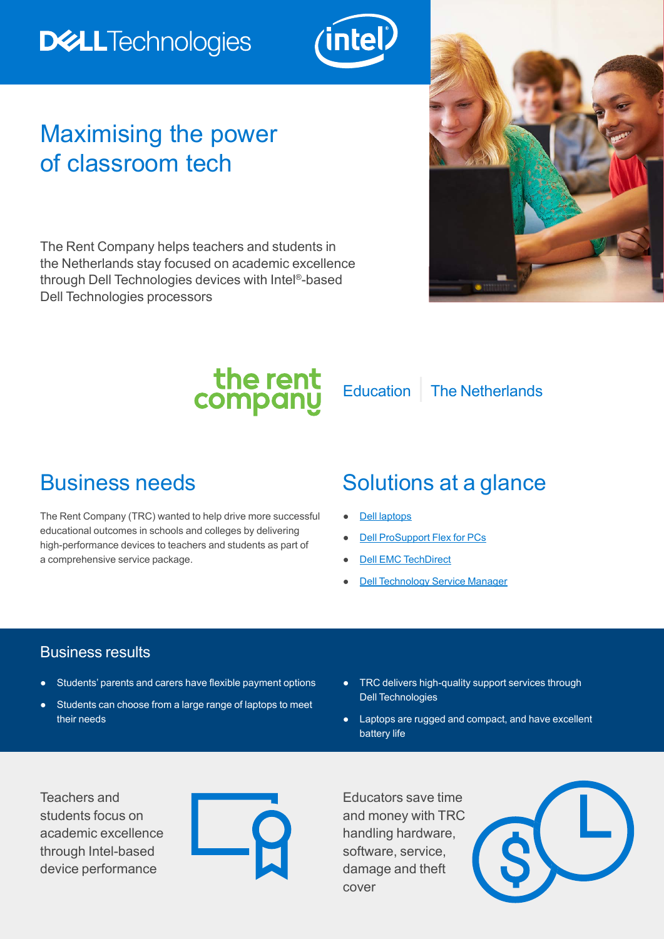# **DELLTechnologies**



## Maximising the power of classroom tech

The Rent Company helps teachers and students in the Netherlands stay focused on academic excellence through Dell Technologies devices with Intel®-based Dell Technologies processors



the rent<br>company

Education | The Netherlands

The Rent Company (TRC) wanted to help drive more successful educational outcomes in schools and colleges by delivering high-performance devices to teachers and students as part of a comprehensive service package.

## Business needs Solutions at a glance

- **[Dell laptops](https://www.dell.com/en-uk?~ck=bt)**
- **[Dell ProSupport Flex for PCs](https://www.delltechnologies.com/en-gb/services/support-services/prosupport-enterprise-suite.htm)**
- **[Dell EMC TechDirect](https://techdirect.dell.com/portal/Login.aspx)**
- **[Dell Technology Service Manager](https://www.delltechnologies.com/en-gb/services/index.htm)**

#### Business results

- Students' parents and carers have flexible payment options
- Students can choose from a large range of laptops to meet their needs
- TRC delivers high-quality support services through Dell Technologies
- Laptops are rugged and compact, and have excellent battery life

Teachers and students focus on academic excellence through Intel-based device performance



Educators save time and money with TRC handling hardware, software, service, damage and theft cover